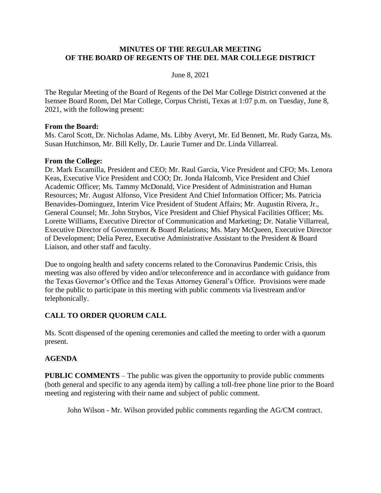#### **MINUTES OF THE REGULAR MEETING OF THE BOARD OF REGENTS OF THE DEL MAR COLLEGE DISTRICT**

#### June 8, 2021

The Regular Meeting of the Board of Regents of the Del Mar College District convened at the Isensee Board Room, Del Mar College, Corpus Christi, Texas at 1:07 p.m. on Tuesday, June 8, 2021, with the following present:

#### **From the Board:**

Ms. Carol Scott, Dr. Nicholas Adame, Ms. Libby Averyt, Mr. Ed Bennett, Mr. Rudy Garza, Ms. Susan Hutchinson, Mr. Bill Kelly, Dr. Laurie Turner and Dr. Linda Villarreal.

#### **From the College:**

Dr. Mark Escamilla, President and CEO; Mr. Raul Garcia, Vice President and CFO; Ms. Lenora Keas, Executive Vice President and COO; Dr. Jonda Halcomb, Vice President and Chief Academic Officer; Ms. Tammy McDonald, Vice President of Administration and Human Resources; Mr. August Alfonso, Vice President And Chief Information Officer; Ms. Patricia Benavides-Dominguez, Interim Vice President of Student Affairs; Mr. Augustin Rivera, Jr., General Counsel; Mr. John Strybos, Vice President and Chief Physical Facilities Officer; Ms. Lorette Williams, Executive Director of Communication and Marketing; Dr. Natalie Villarreal, Executive Director of Government & Board Relations; Ms. Mary McQueen, Executive Director of Development; Delia Perez, Executive Administrative Assistant to the President & Board Liaison, and other staff and faculty.

Due to ongoing health and safety concerns related to the Coronavirus Pandemic Crisis, this meeting was also offered by video and/or teleconference and in accordance with guidance from the Texas Governor's Office and the Texas Attorney General's Office. Provisions were made for the public to participate in this meeting with public comments via livestream and/or telephonically.

# **CALL TO ORDER QUORUM CALL**

Ms. Scott dispensed of the opening ceremonies and called the meeting to order with a quorum present.

#### **AGENDA**

**PUBLIC COMMENTS** – The public was given the opportunity to provide public comments (both general and specific to any agenda item) by calling a toll-free phone line prior to the Board meeting and registering with their name and subject of public comment.

John Wilson - Mr. Wilson provided public comments regarding the AG/CM contract.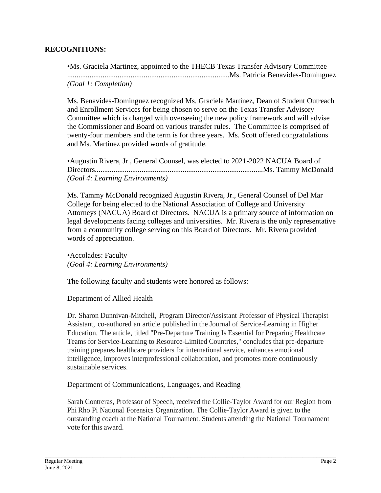### **RECOGNITIONS:**

•Ms. Graciela Martinez, appointed to the THECB Texas Transfer Advisory Committee .......................................................................................Ms. Patricia Benavides-Dominguez *(Goal 1: Completion)* 

Ms. Benavides-Dominguez recognized Ms. Graciela Martinez, Dean of Student Outreach and Enrollment Services for being chosen to serve on the Texas Transfer Advisory Committee which is charged with overseeing the new policy framework and will advise the Commissioner and Board on various transfer rules. The Committee is comprised of twenty-four members and the term is for three years. Ms. Scott offered congratulations and Ms. Martinez provided words of gratitude.

•Augustin Rivera, Jr., General Counsel, was elected to 2021-2022 NACUA Board of Directors..........................................................................................Ms. Tammy McDonald *(Goal 4: Learning Environments)* 

Ms. Tammy McDonald recognized Augustin Rivera, Jr., General Counsel of Del Mar College for being elected to the National Association of College and University Attorneys (NACUA) Board of Directors. NACUA is a primary source of information on legal developments facing colleges and universities. Mr. Rivera is the only representative from a community college serving on this Board of Directors. Mr. Rivera provided words of appreciation.

•Accolades: Faculty *(Goal 4: Learning Environments)*

The following faculty and students were honored as follows:

#### Department of Allied Health

Dr. Sharon Dunnivan-Mitchell, Program Director/Assistant Professor of Physical Therapist Assistant, co-authored an article published in the Journal of Service-Learning in Higher Education. The article, titled "Pre-Departure Training Is Essential for Preparing Healthcare Teams for Service-Learning to Resource-Limited Countries," concludes that pre-departure training prepares healthcare providers for international service, enhances emotional intelligence, improves interprofessional collaboration, and promotes more continuously sustainable services.

#### Department of Communications, Languages, and Reading

Sarah Contreras, Professor of Speech, received the Collie-Taylor Award for our Region from Phi Rho Pi National Forensics Organization. The Collie-Taylor Award is given to the outstanding coach at the National Tournament. Students attending the National Tournament vote for this award.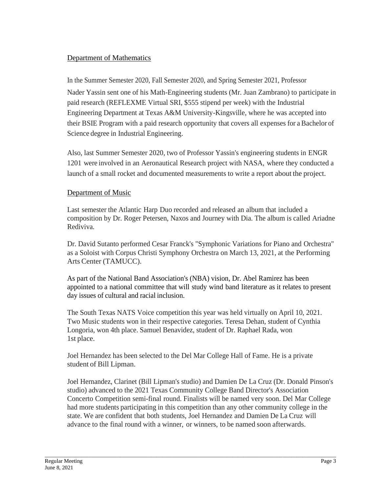# Department of Mathematics

In the Summer Semester 2020, Fall Semester 2020, and Spring Semester 2021, Professor Nader Yassin sent one of his Math-Engineering students (Mr. Juan Zambrano) to participate in paid research (REFLEXME Virtual SRI, \$555 stipend per week) with the Industrial Engineering Department at Texas A&M University-Kingsville, where he was accepted into their BSIE Program with a paid research opportunity that covers all expenses for a Bachelor of Science degree in Industrial Engineering.

Also, last Summer Semester 2020, two of Professor Yassin's engineering students in ENGR 1201 were involved in an Aeronautical Research project with NASA, where they conducted a launch of a small rocket and documented measurements to write a report about the project.

# Department of Music

Last semester the Atlantic Harp Duo recorded and released an album that included a composition by Dr. Roger Petersen, Naxos and Journey with Dia. The album is called Ariadne Rediviva.

Dr. David Sutanto performed Cesar Franck's "Symphonic Variations for Piano and Orchestra" as a Soloist with Corpus Christi Symphony Orchestra on March 13, 2021, at the Performing Arts Center (TAMUCC).

As part of the National Band Association's (NBA) vision, Dr. Abel Ramirez has been appointed to a national committee that will study wind band literature as it relates to present day issues of cultural and racial inclusion.

The South Texas NATS Voice competition this year was held virtually on April 10, 2021. Two Music students won in their respective categories. Teresa Dehan, student of Cynthia Longoria, won 4th place. Samuel Benavidez, student of Dr. Raphael Rada, won 1st place.

Joel Hernandez has been selected to the Del Mar College Hall of Fame. He is a private student of Bill Lipman.

Joel Hernandez, Clarinet (Bill Lipman's studio) and Damien De La Cruz (Dr. Donald Pinson's studio) advanced to the 2021 Texas Community College Band Director's Association Concerto Competition semi-final round. Finalists will be named very soon. Del Mar College had more students participating in this competition than any other community college in the state. We are confident that both students, Joel Hernandez and Damien De La Cruz will advance to the final round with a winner, or winners, to be named soon afterwards.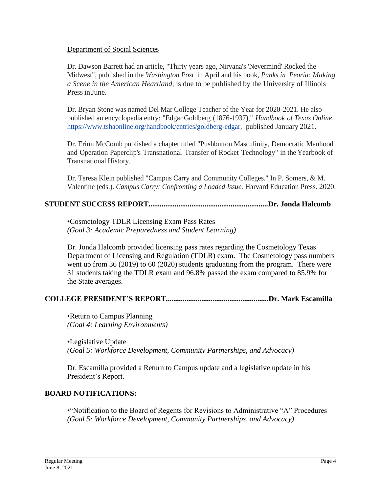#### Department of Social Sciences

Dr. Dawson Barrett had an article, "Thirty years ago, Nirvana's 'Nevermind' Rocked the Midwest", published in the *Washington Post* in April and his book, *Punks in Peoria: Making a Scene in the American Heartland,* is due to be published by the University of Illinois Pressin June.

Dr. Bryan Stone was named Del Mar College Teacher of the Year for 2020-2021. He also published an encyclopedia entry: "Edgar Goldberg (1876-1937)," *Handbook of Texas Online,* [https://www.tshaonli](http://www.tshaonline.org/handbook/entries/goldberg-edgar)ne.org[/handbook/entries/goldberg-edgar,](http://www.tshaonline.org/handbook/entries/goldberg-edgar) published January 2021.

Dr. Erinn McComb published a chapter titled "Pushbutton Masculinity, Democratic Manhood and Operation Paperclip's Transnational Transfer of Rocket Technology" in the Yearbook of Transnational History.

Dr. Teresa Klein published "Campus Carry and Community Colleges." In P. Somers, & M. Valentine (eds.). *Campus Carry: Confronting a Loaded Issue.* Harvard Education Press. 2020.

# **STUDENT SUCCESS REPORT................................................................Dr. Jonda Halcomb**

•Cosmetology TDLR Licensing Exam Pass Rates *(Goal 3: Academic Preparedness and Student Learning)* 

Dr. Jonda Halcomb provided licensing pass rates regarding the Cosmetology Texas Department of Licensing and Regulation (TDLR) exam. The Cosmetology pass numbers went up from 36 (2019) to 60 (2020) students graduating from the program. There were 31 students taking the TDLR exam and 96.8% passed the exam compared to 85.9% for the State averages.

#### **COLLEGE PRESIDENT'S REPORT.......................................................Dr. Mark Escamilla**

•Return to Campus Planning *(Goal 4: Learning Environments)* 

•Legislative Update *(Goal 5: Workforce Development, Community Partnerships, and Advocacy)* 

Dr. Escamilla provided a Return to Campus update and a legislative update in his President's Report.

#### **BOARD NOTIFICATIONS:**

•"Notification to the Board of Regents for Revisions to Administrative "A" Procedures *(Goal 5: Workforce Development, Community Partnerships, and Advocacy)*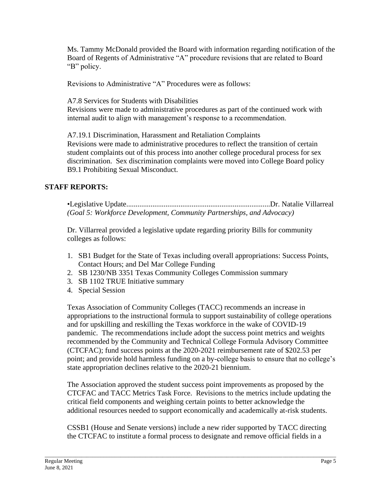Ms. Tammy McDonald provided the Board with information regarding notification of the Board of Regents of Administrative "A" procedure revisions that are related to Board "B" policy.

Revisions to Administrative "A" Procedures were as follows:

A7.8 Services for Students with Disabilities

Revisions were made to administrative procedures as part of the continued work with internal audit to align with management's response to a recommendation.

A7.19.1 Discrimination, Harassment and Retaliation Complaints Revisions were made to administrative procedures to reflect the transition of certain student complaints out of this process into another college procedural process for sex discrimination. Sex discrimination complaints were moved into College Board policy B9.1 Prohibiting Sexual Misconduct.

# **STAFF REPORTS:**

•Legislative Update.............................................................................Dr. Natalie Villarreal *(Goal 5: Workforce Development, Community Partnerships, and Advocacy)* 

Dr. Villarreal provided a legislative update regarding priority Bills for community colleges as follows:

- 1. SB1 Budget for the State of Texas including overall appropriations: Success Points, Contact Hours; and Del Mar College Funding
- 2. SB 1230/NB 3351 Texas Community Colleges Commission summary
- 3. SB 1102 TRUE Initiative summary
- 4. Special Session

Texas Association of Community Colleges (TACC) recommends an increase in appropriations to the instructional formula to support sustainability of college operations and for upskilling and reskilling the Texas workforce in the wake of COVID-19 pandemic. The recommendations include adopt the success point metrics and weights recommended by the Community and Technical College Formula Advisory Committee (CTCFAC); fund success points at the 2020-2021 reimbursement rate of \$202.53 per point; and provide hold harmless funding on a by-college basis to ensure that no college's state appropriation declines relative to the 2020-21 biennium.

The Association approved the student success point improvements as proposed by the CTCFAC and TACC Metrics Task Force. Revisions to the metrics include updating the critical field components and weighing certain points to better acknowledge the additional resources needed to support economically and academically at-risk students.

CSSB1 (House and Senate versions) include a new rider supported by TACC directing the CTCFAC to institute a formal process to designate and remove official fields in a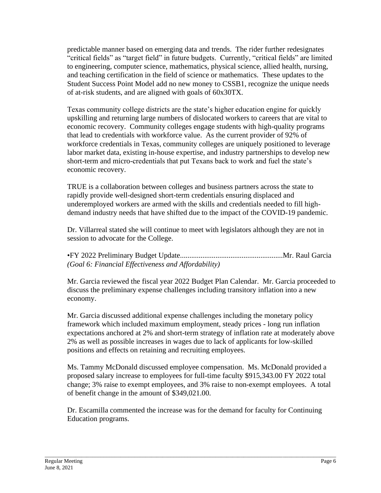predictable manner based on emerging data and trends. The rider further redesignates "critical fields" as "target field" in future budgets. Currently, "critical fields" are limited to engineering, computer science, mathematics, physical science, allied health, nursing, and teaching certification in the field of science or mathematics. These updates to the Student Success Point Model add no new money to CSSB1, recognize the unique needs of at-risk students, and are aligned with goals of 60x30TX.

Texas community college districts are the state's higher education engine for quickly upskilling and returning large numbers of dislocated workers to careers that are vital to economic recovery. Community colleges engage students with high-quality programs that lead to credentials with workforce value. As the current provider of 92% of workforce credentials in Texas, community colleges are uniquely positioned to leverage labor market data, existing in-house expertise, and industry partnerships to develop new short-term and micro-credentials that put Texans back to work and fuel the state's economic recovery.

TRUE is a collaboration between colleges and business partners across the state to rapidly provide well-designed short-term credentials ensuring displaced and underemployed workers are armed with the skills and credentials needed to fill highdemand industry needs that have shifted due to the impact of the COVID-19 pandemic.

Dr. Villarreal stated she will continue to meet with legislators although they are not in session to advocate for the College.

•FY 2022 Preliminary Budget Update.......................................................Mr. Raul Garcia *(Goal 6: Financial Effectiveness and Affordability)* 

Mr. Garcia reviewed the fiscal year 2022 Budget Plan Calendar. Mr. Garcia proceeded to discuss the preliminary expense challenges including transitory inflation into a new economy.

Mr. Garcia discussed additional expense challenges including the monetary policy framework which included maximum employment, steady prices - long run inflation expectations anchored at 2% and short-term strategy of inflation rate at moderately above 2% as well as possible increases in wages due to lack of applicants for low-skilled positions and effects on retaining and recruiting employees.

Ms. Tammy McDonald discussed employee compensation. Ms. McDonald provided a proposed salary increase to employees for full-time faculty \$915,343.00 FY 2022 total change; 3% raise to exempt employees, and 3% raise to non-exempt employees. A total of benefit change in the amount of \$349,021.00.

Dr. Escamilla commented the increase was for the demand for faculty for Continuing Education programs.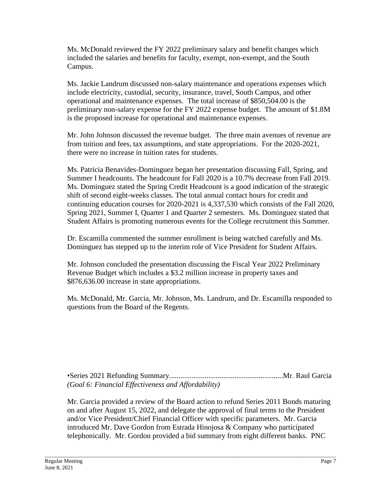Ms. McDonald reviewed the FY 2022 preliminary salary and benefit changes which included the salaries and benefits for faculty, exempt, non-exempt, and the South Campus.

Ms. Jackie Landrum discussed non-salary maintenance and operations expenses which include electricity, custodial, security, insurance, travel, South Campus, and other operational and maintenance expenses. The total increase of \$850,504.00 is the preliminary non-salary expense for the FY 2022 expense budget. The amount of \$1.8M is the proposed increase for operational and maintenance expenses.

Mr. John Johnson discussed the revenue budget. The three main avenues of revenue are from tuition and fees, tax assumptions, and state appropriations. For the 2020-2021, there were no increase in tuition rates for students.

Ms. Patricia Benavides-Dominguez began her presentation discussing Fall, Spring, and Summer I headcounts. The headcount for Fall 2020 is a 10.7% decrease from Fall 2019. Ms. Dominguez stated the Spring Credit Headcount is a good indication of the strategic shift of second eight-weeks classes. The total annual contact hours for credit and continuing education courses for 2020-2021 is 4,337,530 which consists of the Fall 2020, Spring 2021, Summer I, Quarter 1 and Quarter 2 semesters. Ms. Dominguez stated that Student Affairs is promoting numerous events for the College recruitment this Summer.

Dr. Escamilla commented the summer enrollment is being watched carefully and Ms. Dominguez has stepped up to the interim role of Vice President for Student Affairs.

Mr. Johnson concluded the presentation discussing the Fiscal Year 2022 Preliminary Revenue Budget which includes a \$3.2 million increase in property taxes and \$876,636.00 increase in state appropriations.

Ms. McDonald, Mr. Garcia, Mr. Johnson, Ms. Landrum, and Dr. Escamilla responded to questions from the Board of the Regents.

•Series 2021 Refunding Summary.............................................................Mr. Raul Garcia *(Goal 6: Financial Effectiveness and Affordability)* 

Mr. Garcia provided a review of the Board action to refund Series 2011 Bonds maturing on and after August 15, 2022, and delegate the approval of final terms to the President and/or Vice President/Chief Financial Officer with specific parameters. Mr. Garcia introduced Mr. Dave Gordon from Estrada Hinojosa & Company who participated telephonically. Mr. Gordon provided a bid summary from eight different banks. PNC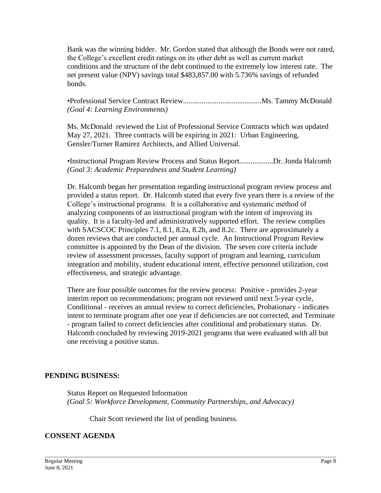Bank was the winning bidder. Mr. Gordon stated that although the Bonds were not rated, the College's excellent credit ratings on its other debt as well as current market conditions and the structure of the debt continued to the extremely low interest rate. The net present value (NPV) savings total \$483,857.00 with 5.736% savings of refunded bonds.

•Professional Service Contract Review..........................................Ms. Tammy McDonald *(Goal 4: Learning Environments)* 

Ms. McDonald reviewed the List of Professional Service Contracts which was updated May 27, 2021. Three contracts will be expiring in 2021: Urban Engineering, Gensler/Turner Ramirez Architects, and Allied Universal.

•Instructional Program Review Process and Status Report..................Dr. Jonda Halcomb *(Goal 3: Academic Preparedness and Student Learning)* 

Dr. Halcomb began her presentation regarding instructional program review process and provided a status report. Dr. Halcomb stated that every five years there is a review of the College's instructional programs. It is a collaborative and systematic method of analyzing components of an instructional program with the intent of improving its quality. It is a faculty-led and administratively supported effort. The review complies with SACSCOC Principles 7.1, 8.1, 8.2a, 8.2b, and 8.2c. There are approximately a dozen reviews that are conducted per annual cycle. An Instructional Program Review committee is appointed by the Dean of the division. The seven core criteria include review of assessment processes, faculty support of program and learning, curriculum integration and mobility, student educational intent, effective personnel utilization, cost effectiveness, and strategic advantage.

There are four possible outcomes for the review process: Positive - provides 2-year interim report on recommendations; program not reviewed until next 5-year cycle, Conditional - receives an annual review to correct deficiencies, Probationary - indicates intent to terminate program after one year if deficiencies are not corrected, and Terminate - program failed to correct deficiencies after conditional and probationary status. Dr. Halcomb concluded by reviewing 2019-2021 programs that were evaluated with all but one receiving a positive status.

#### **PENDING BUSINESS:**

Status Report on Requested Information *(Goal 5: Workforce Development, Community Partnerships, and Advocacy)*

\_\_\_\_\_\_\_\_\_\_\_\_\_\_\_\_\_\_\_\_\_\_\_\_\_\_\_\_\_\_\_\_\_\_\_\_\_\_\_\_\_\_\_\_\_\_\_\_\_\_\_\_\_\_\_\_\_\_\_\_\_\_\_\_\_\_\_\_\_\_\_\_\_\_\_\_\_\_\_\_\_\_\_\_\_\_\_\_\_\_\_\_\_\_\_\_\_\_\_\_\_\_\_\_

Chair Scott reviewed the list of pending business.

#### **CONSENT AGENDA**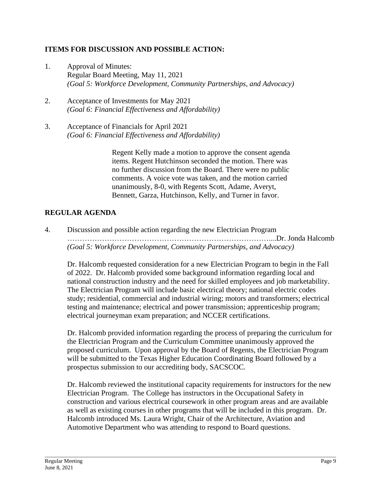### **ITEMS FOR DISCUSSION AND POSSIBLE ACTION:**

- 1. Approval of Minutes: Regular Board Meeting, May 11, 2021 *(Goal 5: Workforce Development, Community Partnerships, and Advocacy)*
- 2. Acceptance of Investments for May 2021 *(Goal 6: Financial Effectiveness and Affordability)*
- 3. Acceptance of Financials for April 2021 *(Goal 6: Financial Effectiveness and Affordability)*

Regent Kelly made a motion to approve the consent agenda items. Regent Hutchinson seconded the motion. There was no further discussion from the Board. There were no public comments. A voice vote was taken, and the motion carried unanimously, 8-0, with Regents Scott, Adame, Averyt, Bennett, Garza, Hutchinson, Kelly, and Turner in favor.

# **REGULAR AGENDA**

4. Discussion and possible action regarding the new Electrician Program ………………………………………………………………………....Dr. Jonda Halcomb *(Goal 5: Workforce Development, Community Partnerships, and Advocacy)* 

Dr. Halcomb requested consideration for a new Electrician Program to begin in the Fall of 2022. Dr. Halcomb provided some background information regarding local and national construction industry and the need for skilled employees and job marketability. The Electrician Program will include basic electrical theory; national electric codes study; residential, commercial and industrial wiring; motors and transformers; electrical testing and maintenance; electrical and power transmission; apprenticeship program; electrical journeyman exam preparation; and NCCER certifications.

Dr. Halcomb provided information regarding the process of preparing the curriculum for the Electrician Program and the Curriculum Committee unanimously approved the proposed curriculum. Upon approval by the Board of Regents, the Electrician Program will be submitted to the Texas Higher Education Coordinating Board followed by a prospectus submission to our accrediting body, SACSCOC.

Dr. Halcomb reviewed the institutional capacity requirements for instructors for the new Electrician Program. The College has instructors in the Occupational Safety in construction and various electrical coursework in other program areas and are available as well as existing courses in other programs that will be included in this program. Dr. Halcomb introduced Ms. Laura Wright, Chair of the Architecture, Aviation and Automotive Department who was attending to respond to Board questions.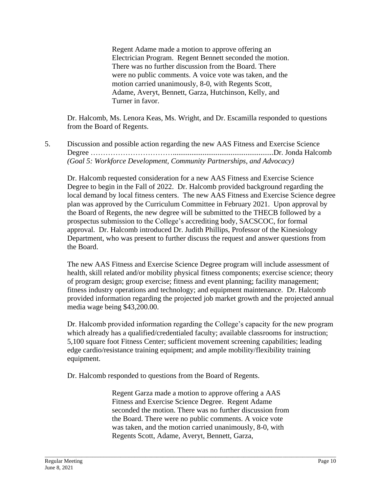Regent Adame made a motion to approve offering an Electrician Program. Regent Bennett seconded the motion. There was no further discussion from the Board. There were no public comments. A voice vote was taken, and the motion carried unanimously, 8-0, with Regents Scott, Adame, Averyt, Bennett, Garza, Hutchinson, Kelly, and Turner in favor.

Dr. Halcomb, Ms. Lenora Keas, Ms. Wright, and Dr. Escamilla responded to questions from the Board of Regents.

5. Discussion and possible action regarding the new AAS Fitness and Exercise Science Degree ……………………………......................................................Dr. Jonda Halcomb *(Goal 5: Workforce Development, Community Partnerships, and Advocacy)* 

Dr. Halcomb requested consideration for a new AAS Fitness and Exercise Science Degree to begin in the Fall of 2022. Dr. Halcomb provided background regarding the local demand by local fitness centers. The new AAS Fitness and Exercise Science degree plan was approved by the Curriculum Committee in February 2021. Upon approval by the Board of Regents, the new degree will be submitted to the THECB followed by a prospectus submission to the College's accrediting body, SACSCOC, for formal approval. Dr. Halcomb introduced Dr. Judith Phillips, Professor of the Kinesiology Department, who was present to further discuss the request and answer questions from the Board.

The new AAS Fitness and Exercise Science Degree program will include assessment of health, skill related and/or mobility physical fitness components; exercise science; theory of program design; group exercise; fitness and event planning; facility management; fitness industry operations and technology; and equipment maintenance. Dr. Halcomb provided information regarding the projected job market growth and the projected annual media wage being \$43,200.00.

Dr. Halcomb provided information regarding the College's capacity for the new program which already has a qualified/credentialed faculty; available classrooms for instruction; 5,100 square foot Fitness Center; sufficient movement screening capabilities; leading edge cardio/resistance training equipment; and ample mobility/flexibility training equipment.

Dr. Halcomb responded to questions from the Board of Regents.

Regent Garza made a motion to approve offering a AAS Fitness and Exercise Science Degree. Regent Adame seconded the motion. There was no further discussion from the Board. There were no public comments. A voice vote was taken, and the motion carried unanimously, 8-0, with Regents Scott, Adame, Averyt, Bennett, Garza,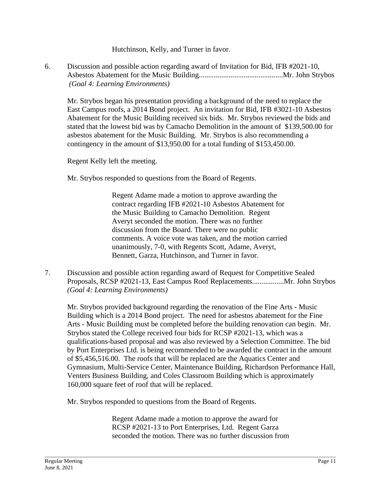Hutchinson, Kelly, and Turner in favor.

6. Discussion and possible action regarding award of Invitation for Bid, IFB #2021-10, Asbestos Abatement for the Music Building.............................................Mr. John Strybos *(Goal 4: Learning Environments)* 

Mr. Strybos began his presentation providing a background of the need to replace the East Campus roofs, a 2014 Bond project. An invitation for Bid, IFB #3021-10 Asbestos Abatement for the Music Building received six bids. Mr. Strybos reviewed the bids and stated that the lowest bid was by Camacho Demolition in the amount of \$139,500.00 for asbestos abatement for the Music Building. Mr. Strybos is also recommending a contingency in the amount of \$13,950.00 for a total funding of \$153,450.00.

Regent Kelly left the meeting.

Mr. Strybos responded to questions from the Board of Regents.

Regent Adame made a motion to approve awarding the contract regarding IFB #2021-10 Asbestos Abatement for the Music Building to Camacho Demolition. Regent Averyt seconded the motion. There was no further discussion from the Board. There were no public comments. A voice vote was taken, and the motion carried unanimously, 7-0, with Regents Scott, Adame, Averyt, Bennett, Garza, Hutchinson, and Turner in favor.

7. Discussion and possible action regarding award of Request for Competitive Sealed Proposals, RCSP #2021-13, East Campus Roof Replacements.................Mr. John Strybos *(Goal 4: Learning Environments)* 

Mr. Strybos provided background regarding the renovation of the Fine Arts - Music Building which is a 2014 Bond project. The need for asbestos abatement for the Fine Arts - Music Building must be completed before the building renovation can begin. Mr. Strybos stated the College received four bids for RCSP #2021-13, which was a qualifications-based proposal and was also reviewed by a Selection Committee. The bid by Port Enterprises Ltd. is being recommended to be awarded the contract in the amount of \$5,456,516.00. The roofs that will be replaced are the Aquatics Center and Gymnasium, Multi-Service Center, Maintenance Building, Richardson Performance Hall, Venters Business Building, and Coles Classroom Building which is approximately 160,000 square feet of roof that will be replaced.

Mr. Strybos responded to questions from the Board of Regents.

Regent Adame made a motion to approve the award for RCSP #2021-13 to Port Enterprises, Ltd. Regent Garza seconded the motion. There was no further discussion from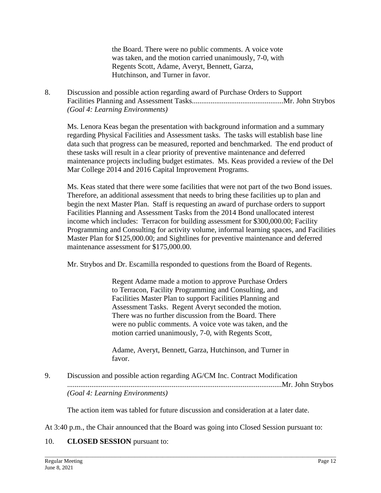the Board. There were no public comments. A voice vote was taken, and the motion carried unanimously, 7-0, with Regents Scott, Adame, Averyt, Bennett, Garza, Hutchinson, and Turner in favor.

8. Discussion and possible action regarding award of Purchase Orders to Support Facilities Planning and Assessment Tasks.................................................Mr. John Strybos *(Goal 4: Learning Environments)* 

Ms. Lenora Keas began the presentation with background information and a summary regarding Physical Facilities and Assessment tasks. The tasks will establish base line data such that progress can be measured, reported and benchmarked. The end product of these tasks will result in a clear priority of preventive maintenance and deferred maintenance projects including budget estimates. Ms. Keas provided a review of the Del Mar College 2014 and 2016 Capital Improvement Programs.

Ms. Keas stated that there were some facilities that were not part of the two Bond issues. Therefore, an additional assessment that needs to bring these facilities up to plan and begin the next Master Plan. Staff is requesting an award of purchase orders to support Facilities Planning and Assessment Tasks from the 2014 Bond unallocated interest income which includes: Terracon for building assessment for \$300,000.00; Facility Programming and Consulting for activity volume, informal learning spaces, and Facilities Master Plan for \$125,000.00; and Sightlines for preventive maintenance and deferred maintenance assessment for \$175,000.00.

Mr. Strybos and Dr. Escamilla responded to questions from the Board of Regents.

Regent Adame made a motion to approve Purchase Orders to Terracon, Facility Programming and Consulting, and Facilities Master Plan to support Facilities Planning and Assessment Tasks. Regent Averyt seconded the motion. There was no further discussion from the Board. There were no public comments. A voice vote was taken, and the motion carried unanimously, 7-0, with Regents Scott,

Adame, Averyt, Bennett, Garza, Hutchinson, and Turner in favor.

9. Discussion and possible action regarding AG/CM Inc. Contract Modification ...................................................................................................................Mr. John Strybos *(Goal 4: Learning Environments)* 

The action item was tabled for future discussion and consideration at a later date.

\_\_\_\_\_\_\_\_\_\_\_\_\_\_\_\_\_\_\_\_\_\_\_\_\_\_\_\_\_\_\_\_\_\_\_\_\_\_\_\_\_\_\_\_\_\_\_\_\_\_\_\_\_\_\_\_\_\_\_\_\_\_\_\_\_\_\_\_\_\_\_\_\_\_\_\_\_\_\_\_\_\_\_\_\_\_\_\_\_\_\_\_\_\_\_\_\_\_\_\_\_\_\_\_

At 3:40 p.m., the Chair announced that the Board was going into Closed Session pursuant to:

# 10. **CLOSED SESSION** pursuant to: